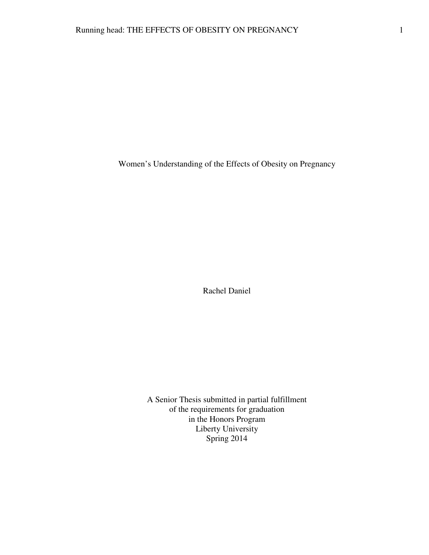Women's Understanding of the Effects of Obesity on Pregnancy

Rachel Daniel

A Senior Thesis submitted in partial fulfillment of the requirements for graduation in the Honors Program Liberty University Spring 2014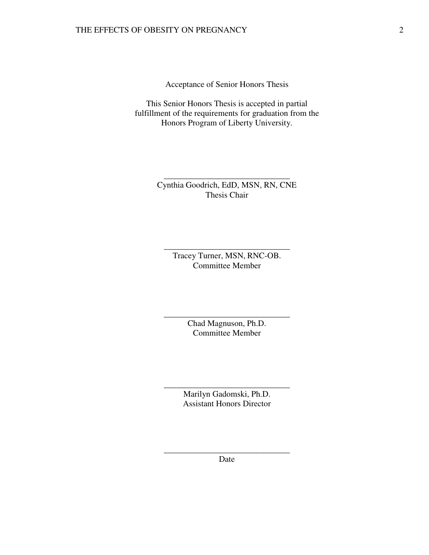Acceptance of Senior Honors Thesis

This Senior Honors Thesis is accepted in partial fulfillment of the requirements for graduation from the Honors Program of Liberty University.

> Cynthia Goodrich, EdD, MSN, RN, CNE Thesis Chair

\_\_\_\_\_\_\_\_\_\_\_\_\_\_\_\_\_\_\_\_\_\_\_\_\_\_\_\_\_\_

Tracey Turner, MSN, RNC-OB. Committee Member

\_\_\_\_\_\_\_\_\_\_\_\_\_\_\_\_\_\_\_\_\_\_\_\_\_\_\_\_\_\_

Chad Magnuson, Ph.D. Committee Member

\_\_\_\_\_\_\_\_\_\_\_\_\_\_\_\_\_\_\_\_\_\_\_\_\_\_\_\_\_\_

Marilyn Gadomski, Ph.D. Assistant Honors Director

\_\_\_\_\_\_\_\_\_\_\_\_\_\_\_\_\_\_\_\_\_\_\_\_\_\_\_\_\_\_

\_\_\_\_\_\_\_\_\_\_\_\_\_\_\_\_\_\_\_\_\_\_\_\_\_\_\_\_\_\_ Date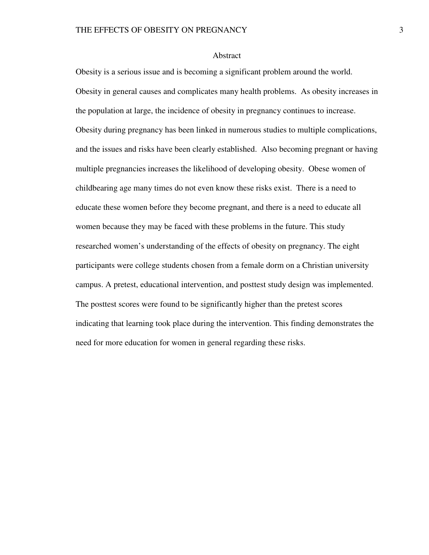### Abstract

Obesity is a serious issue and is becoming a significant problem around the world. Obesity in general causes and complicates many health problems. As obesity increases in the population at large, the incidence of obesity in pregnancy continues to increase. Obesity during pregnancy has been linked in numerous studies to multiple complications, and the issues and risks have been clearly established. Also becoming pregnant or having multiple pregnancies increases the likelihood of developing obesity. Obese women of childbearing age many times do not even know these risks exist. There is a need to educate these women before they become pregnant, and there is a need to educate all women because they may be faced with these problems in the future. This study researched women's understanding of the effects of obesity on pregnancy. The eight participants were college students chosen from a female dorm on a Christian university campus. A pretest, educational intervention, and posttest study design was implemented. The posttest scores were found to be significantly higher than the pretest scores indicating that learning took place during the intervention. This finding demonstrates the need for more education for women in general regarding these risks.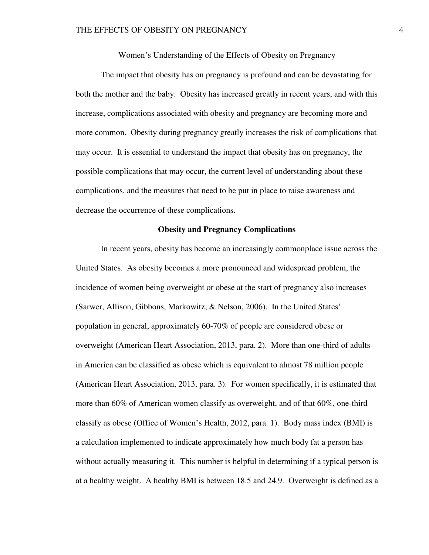Women's Understanding of the Effects of Obesity on Pregnancy

The impact that obesity has on pregnancy is profound and can be devastating for both the mother and the baby. Obesity has increased greatly in recent years, and with this increase, complications associated with obesity and pregnancy are becoming more and more common. Obesity during pregnancy greatly increases the risk of complications that may occur. It is essential to understand the impact that obesity has on pregnancy, the possible complications that may occur, the current level of understanding about these complications, and the measures that need to be put in place to raise awareness and decrease the occurrence of these complications.

# **Obesity and Pregnancy Complications**

In recent years, obesity has become an increasingly commonplace issue across the United States. As obesity becomes a more pronounced and widespread problem, the incidence of women being overweight or obese at the start of pregnancy also increases (Sarwer, Allison, Gibbons, Markowitz, & Nelson, 2006). In the United States' population in general, approximately 60-70% of people are considered obese or overweight (American Heart Association, 2013, para. 2). More than one-third of adults in America can be classified as obese which is equivalent to almost 78 million people (American Heart Association, 2013, para. 3). For women specifically, it is estimated that more than 60% of American women classify as overweight, and of that 60%, one-third classify as obese (Office of Women's Health, 2012, para. 1). Body mass index (BMI) is a calculation implemented to indicate approximately how much body fat a person has without actually measuring it. This number is helpful in determining if a typical person is at a healthy weight. A healthy BMI is between 18.5 and 24.9. Overweight is defined as a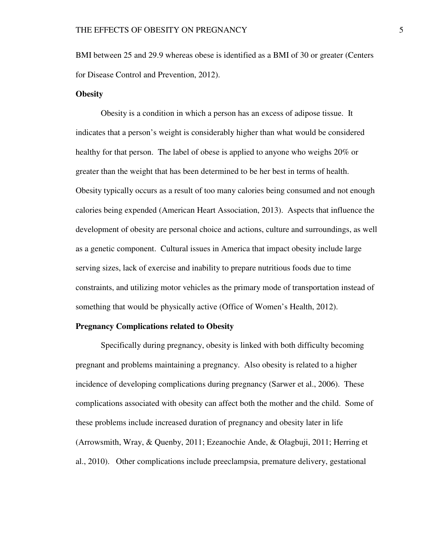BMI between 25 and 29.9 whereas obese is identified as a BMI of 30 or greater (Centers for Disease Control and Prevention, 2012).

# **Obesity**

Obesity is a condition in which a person has an excess of adipose tissue. It indicates that a person's weight is considerably higher than what would be considered healthy for that person. The label of obese is applied to anyone who weighs 20% or greater than the weight that has been determined to be her best in terms of health. Obesity typically occurs as a result of too many calories being consumed and not enough calories being expended (American Heart Association, 2013). Aspects that influence the development of obesity are personal choice and actions, culture and surroundings, as well as a genetic component. Cultural issues in America that impact obesity include large serving sizes, lack of exercise and inability to prepare nutritious foods due to time constraints, and utilizing motor vehicles as the primary mode of transportation instead of something that would be physically active (Office of Women's Health, 2012).

#### **Pregnancy Complications related to Obesity**

Specifically during pregnancy, obesity is linked with both difficulty becoming pregnant and problems maintaining a pregnancy. Also obesity is related to a higher incidence of developing complications during pregnancy (Sarwer et al., 2006). These complications associated with obesity can affect both the mother and the child. Some of these problems include increased duration of pregnancy and obesity later in life (Arrowsmith, Wray, & Quenby, 2011; Ezeanochie Ande, & Olagbuji, 2011; Herring et al., 2010). Other complications include preeclampsia, premature delivery, gestational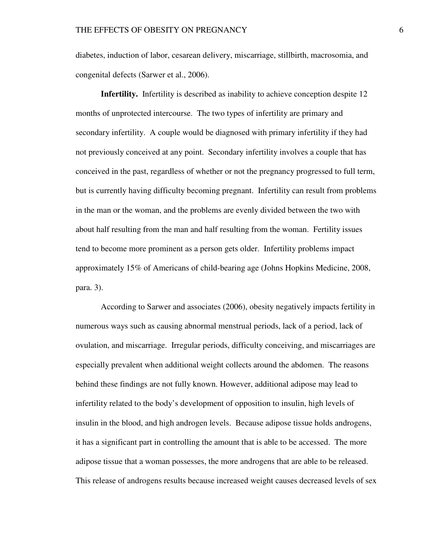diabetes, induction of labor, cesarean delivery, miscarriage, stillbirth, macrosomia, and congenital defects (Sarwer et al., 2006).

**Infertility.**Infertility is described as inability to achieve conception despite 12 months of unprotected intercourse. The two types of infertility are primary and secondary infertility. A couple would be diagnosed with primary infertility if they had not previously conceived at any point. Secondary infertility involves a couple that has conceived in the past, regardless of whether or not the pregnancy progressed to full term, but is currently having difficulty becoming pregnant. Infertility can result from problems in the man or the woman, and the problems are evenly divided between the two with about half resulting from the man and half resulting from the woman. Fertility issues tend to become more prominent as a person gets older. Infertility problems impact approximately 15% of Americans of child-bearing age (Johns Hopkins Medicine, 2008, para. 3).

According to Sarwer and associates (2006), obesity negatively impacts fertility in numerous ways such as causing abnormal menstrual periods, lack of a period, lack of ovulation, and miscarriage. Irregular periods, difficulty conceiving, and miscarriages are especially prevalent when additional weight collects around the abdomen. The reasons behind these findings are not fully known. However, additional adipose may lead to infertility related to the body's development of opposition to insulin, high levels of insulin in the blood, and high androgen levels. Because adipose tissue holds androgens, it has a significant part in controlling the amount that is able to be accessed. The more adipose tissue that a woman possesses, the more androgens that are able to be released. This release of androgens results because increased weight causes decreased levels of sex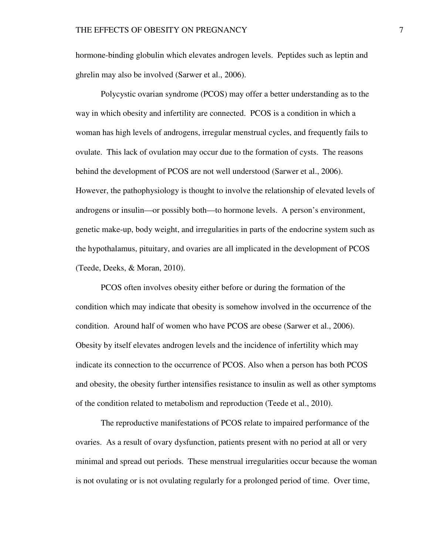hormone-binding globulin which elevates androgen levels. Peptides such as leptin and ghrelin may also be involved (Sarwer et al., 2006).

Polycystic ovarian syndrome (PCOS) may offer a better understanding as to the way in which obesity and infertility are connected. PCOS is a condition in which a woman has high levels of androgens, irregular menstrual cycles, and frequently fails to ovulate. This lack of ovulation may occur due to the formation of cysts. The reasons behind the development of PCOS are not well understood (Sarwer et al., 2006). However, the pathophysiology is thought to involve the relationship of elevated levels of androgens or insulin—or possibly both—to hormone levels. A person's environment, genetic make-up, body weight, and irregularities in parts of the endocrine system such as the hypothalamus, pituitary, and ovaries are all implicated in the development of PCOS (Teede, Deeks, & Moran, 2010).

PCOS often involves obesity either before or during the formation of the condition which may indicate that obesity is somehow involved in the occurrence of the condition. Around half of women who have PCOS are obese (Sarwer et al., 2006). Obesity by itself elevates androgen levels and the incidence of infertility which may indicate its connection to the occurrence of PCOS. Also when a person has both PCOS and obesity, the obesity further intensifies resistance to insulin as well as other symptoms of the condition related to metabolism and reproduction (Teede et al., 2010).

The reproductive manifestations of PCOS relate to impaired performance of the ovaries. As a result of ovary dysfunction, patients present with no period at all or very minimal and spread out periods. These menstrual irregularities occur because the woman is not ovulating or is not ovulating regularly for a prolonged period of time. Over time,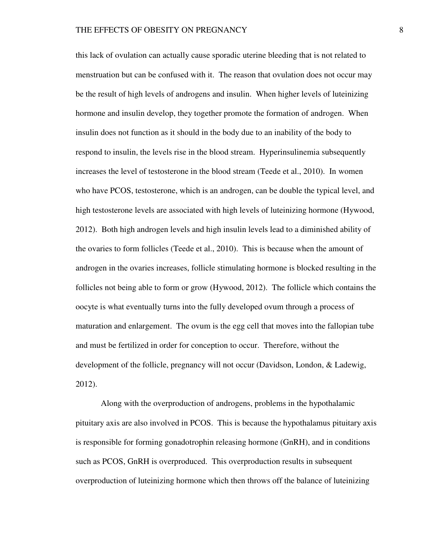this lack of ovulation can actually cause sporadic uterine bleeding that is not related to menstruation but can be confused with it. The reason that ovulation does not occur may be the result of high levels of androgens and insulin. When higher levels of luteinizing hormone and insulin develop, they together promote the formation of androgen. When insulin does not function as it should in the body due to an inability of the body to respond to insulin, the levels rise in the blood stream. Hyperinsulinemia subsequently increases the level of testosterone in the blood stream (Teede et al., 2010). In women who have PCOS, testosterone, which is an androgen, can be double the typical level, and high testosterone levels are associated with high levels of luteinizing hormone (Hywood, 2012). Both high androgen levels and high insulin levels lead to a diminished ability of the ovaries to form follicles (Teede et al., 2010). This is because when the amount of androgen in the ovaries increases, follicle stimulating hormone is blocked resulting in the follicles not being able to form or grow (Hywood, 2012). The follicle which contains the oocyte is what eventually turns into the fully developed ovum through a process of maturation and enlargement. The ovum is the egg cell that moves into the fallopian tube and must be fertilized in order for conception to occur. Therefore, without the development of the follicle, pregnancy will not occur (Davidson, London, & Ladewig, 2012).

Along with the overproduction of androgens, problems in the hypothalamic pituitary axis are also involved in PCOS. This is because the hypothalamus pituitary axis is responsible for forming gonadotrophin releasing hormone (GnRH), and in conditions such as PCOS, GnRH is overproduced. This overproduction results in subsequent overproduction of luteinizing hormone which then throws off the balance of luteinizing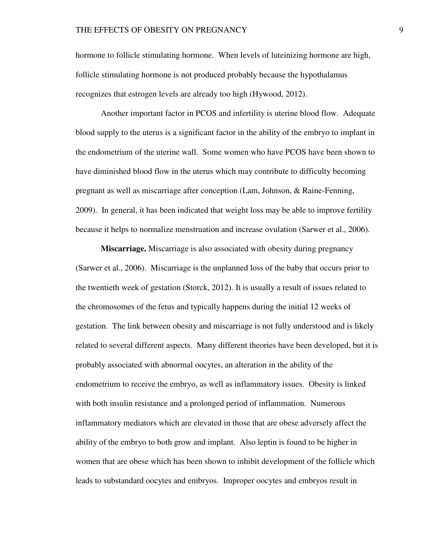hormone to follicle stimulating hormone. When levels of luteinizing hormone are high, follicle stimulating hormone is not produced probably because the hypothalamus recognizes that estrogen levels are already too high (Hywood, 2012).

Another important factor in PCOS and infertility is uterine blood flow. Adequate blood supply to the uterus is a significant factor in the ability of the embryo to implant in the endometrium of the uterine wall. Some women who have PCOS have been shown to have diminished blood flow in the uterus which may contribute to difficulty becoming pregnant as well as miscarriage after conception (Lam, Johnson, & Raine-Fenning, 2009). In general, it has been indicated that weight loss may be able to improve fertility because it helps to normalize menstruation and increase ovulation (Sarwer et al., 2006).

**Miscarriage.** Miscarriage is also associated with obesity during pregnancy (Sarwer et al., 2006). Miscarriage is the unplanned loss of the baby that occurs prior to the twentieth week of gestation (Storck, 2012). It is usually a result of issues related to the chromosomes of the fetus and typically happens during the initial 12 weeks of gestation. The link between obesity and miscarriage is not fully understood and is likely related to several different aspects. Many different theories have been developed, but it is probably associated with abnormal oocytes, an alteration in the ability of the endometrium to receive the embryo, as well as inflammatory issues. Obesity is linked with both insulin resistance and a prolonged period of inflammation. Numerous inflammatory mediators which are elevated in those that are obese adversely affect the ability of the embryo to both grow and implant. Also leptin is found to be higher in women that are obese which has been shown to inhibit development of the follicle which leads to substandard oocytes and embryos. Improper oocytes and embryos result in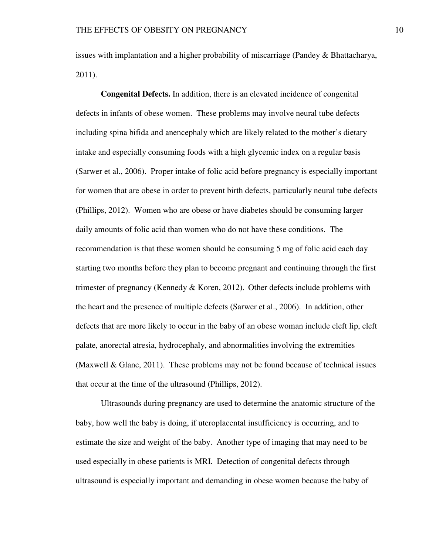issues with implantation and a higher probability of miscarriage (Pandey & Bhattacharya, 2011).

**Congenital Defects.** In addition, there is an elevated incidence of congenital defects in infants of obese women. These problems may involve neural tube defects including spina bifida and anencephaly which are likely related to the mother's dietary intake and especially consuming foods with a high glycemic index on a regular basis (Sarwer et al., 2006). Proper intake of folic acid before pregnancy is especially important for women that are obese in order to prevent birth defects, particularly neural tube defects (Phillips, 2012). Women who are obese or have diabetes should be consuming larger daily amounts of folic acid than women who do not have these conditions. The recommendation is that these women should be consuming 5 mg of folic acid each day starting two months before they plan to become pregnant and continuing through the first trimester of pregnancy (Kennedy & Koren, 2012). Other defects include problems with the heart and the presence of multiple defects (Sarwer et al., 2006). In addition, other defects that are more likely to occur in the baby of an obese woman include cleft lip, cleft palate, anorectal atresia, hydrocephaly, and abnormalities involving the extremities (Maxwell & Glanc, 2011). These problems may not be found because of technical issues that occur at the time of the ultrasound (Phillips, 2012).

Ultrasounds during pregnancy are used to determine the anatomic structure of the baby, how well the baby is doing, if uteroplacental insufficiency is occurring, and to estimate the size and weight of the baby. Another type of imaging that may need to be used especially in obese patients is MRI. Detection of congenital defects through ultrasound is especially important and demanding in obese women because the baby of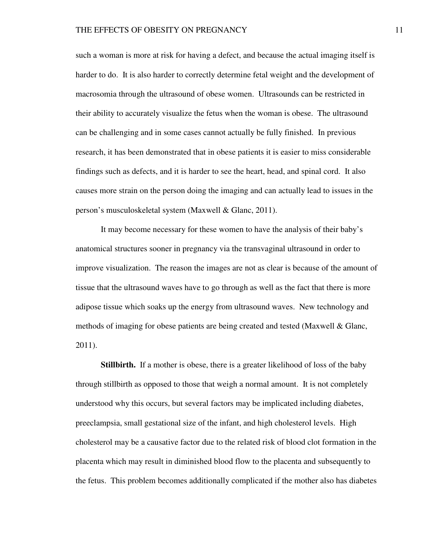such a woman is more at risk for having a defect, and because the actual imaging itself is harder to do. It is also harder to correctly determine fetal weight and the development of macrosomia through the ultrasound of obese women. Ultrasounds can be restricted in their ability to accurately visualize the fetus when the woman is obese. The ultrasound can be challenging and in some cases cannot actually be fully finished. In previous research, it has been demonstrated that in obese patients it is easier to miss considerable findings such as defects, and it is harder to see the heart, head, and spinal cord. It also causes more strain on the person doing the imaging and can actually lead to issues in the person's musculoskeletal system (Maxwell & Glanc, 2011).

It may become necessary for these women to have the analysis of their baby's anatomical structures sooner in pregnancy via the transvaginal ultrasound in order to improve visualization. The reason the images are not as clear is because of the amount of tissue that the ultrasound waves have to go through as well as the fact that there is more adipose tissue which soaks up the energy from ultrasound waves. New technology and methods of imaging for obese patients are being created and tested (Maxwell & Glanc, 2011).

**Stillbirth.** If a mother is obese, there is a greater likelihood of loss of the baby through stillbirth as opposed to those that weigh a normal amount. It is not completely understood why this occurs, but several factors may be implicated including diabetes, preeclampsia, small gestational size of the infant, and high cholesterol levels. High cholesterol may be a causative factor due to the related risk of blood clot formation in the placenta which may result in diminished blood flow to the placenta and subsequently to the fetus. This problem becomes additionally complicated if the mother also has diabetes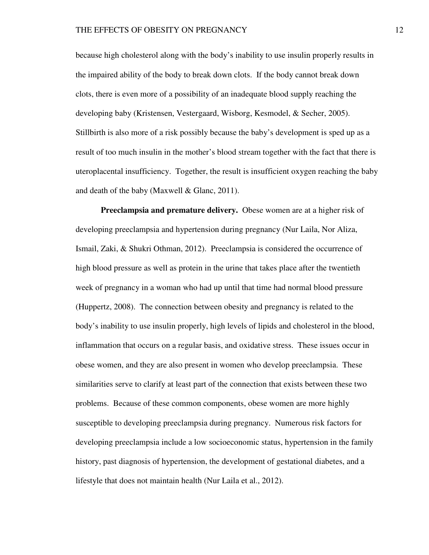because high cholesterol along with the body's inability to use insulin properly results in the impaired ability of the body to break down clots. If the body cannot break down clots, there is even more of a possibility of an inadequate blood supply reaching the developing baby (Kristensen, Vestergaard, Wisborg, Kesmodel, & Secher, 2005). Stillbirth is also more of a risk possibly because the baby's development is sped up as a result of too much insulin in the mother's blood stream together with the fact that there is uteroplacental insufficiency. Together, the result is insufficient oxygen reaching the baby and death of the baby (Maxwell & Glanc, 2011).

**Preeclampsia and premature delivery.** Obese women are at a higher risk of developing preeclampsia and hypertension during pregnancy (Nur Laila, Nor Aliza, Ismail, Zaki, & Shukri Othman, 2012). Preeclampsia is considered the occurrence of high blood pressure as well as protein in the urine that takes place after the twentieth week of pregnancy in a woman who had up until that time had normal blood pressure (Huppertz, 2008). The connection between obesity and pregnancy is related to the body's inability to use insulin properly, high levels of lipids and cholesterol in the blood, inflammation that occurs on a regular basis, and oxidative stress. These issues occur in obese women, and they are also present in women who develop preeclampsia. These similarities serve to clarify at least part of the connection that exists between these two problems. Because of these common components, obese women are more highly susceptible to developing preeclampsia during pregnancy. Numerous risk factors for developing preeclampsia include a low socioeconomic status, hypertension in the family history, past diagnosis of hypertension, the development of gestational diabetes, and a lifestyle that does not maintain health (Nur Laila et al., 2012).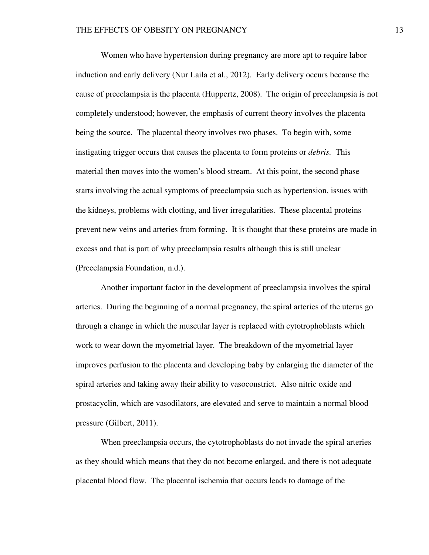Women who have hypertension during pregnancy are more apt to require labor induction and early delivery (Nur Laila et al., 2012). Early delivery occurs because the cause of preeclampsia is the placenta (Huppertz, 2008). The origin of preeclampsia is not completely understood; however, the emphasis of current theory involves the placenta being the source. The placental theory involves two phases. To begin with, some instigating trigger occurs that causes the placenta to form proteins or *debris.* This material then moves into the women's blood stream. At this point, the second phase starts involving the actual symptoms of preeclampsia such as hypertension, issues with the kidneys, problems with clotting, and liver irregularities. These placental proteins prevent new veins and arteries from forming. It is thought that these proteins are made in excess and that is part of why preeclampsia results although this is still unclear (Preeclampsia Foundation, n.d.).

Another important factor in the development of preeclampsia involves the spiral arteries. During the beginning of a normal pregnancy, the spiral arteries of the uterus go through a change in which the muscular layer is replaced with cytotrophoblasts which work to wear down the myometrial layer. The breakdown of the myometrial layer improves perfusion to the placenta and developing baby by enlarging the diameter of the spiral arteries and taking away their ability to vasoconstrict. Also nitric oxide and prostacyclin, which are vasodilators, are elevated and serve to maintain a normal blood pressure (Gilbert, 2011).

When preeclampsia occurs, the cytotrophoblasts do not invade the spiral arteries as they should which means that they do not become enlarged, and there is not adequate placental blood flow. The placental ischemia that occurs leads to damage of the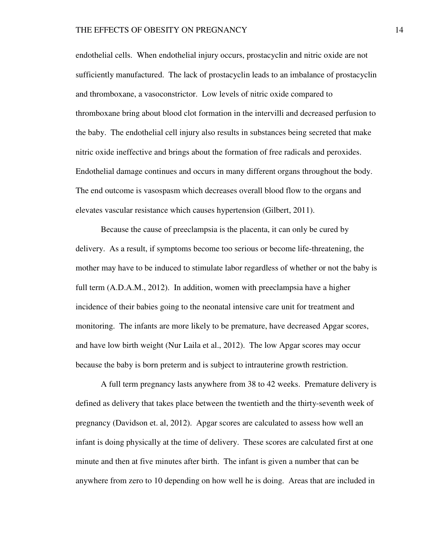endothelial cells. When endothelial injury occurs, prostacyclin and nitric oxide are not sufficiently manufactured. The lack of prostacyclin leads to an imbalance of prostacyclin and thromboxane, a vasoconstrictor. Low levels of nitric oxide compared to thromboxane bring about blood clot formation in the intervilli and decreased perfusion to the baby. The endothelial cell injury also results in substances being secreted that make nitric oxide ineffective and brings about the formation of free radicals and peroxides. Endothelial damage continues and occurs in many different organs throughout the body. The end outcome is vasospasm which decreases overall blood flow to the organs and elevates vascular resistance which causes hypertension (Gilbert, 2011).

Because the cause of preeclampsia is the placenta, it can only be cured by delivery. As a result, if symptoms become too serious or become life-threatening, the mother may have to be induced to stimulate labor regardless of whether or not the baby is full term (A.D.A.M., 2012). In addition, women with preeclampsia have a higher incidence of their babies going to the neonatal intensive care unit for treatment and monitoring. The infants are more likely to be premature, have decreased Apgar scores, and have low birth weight (Nur Laila et al., 2012). The low Apgar scores may occur because the baby is born preterm and is subject to intrauterine growth restriction.

A full term pregnancy lasts anywhere from 38 to 42 weeks. Premature delivery is defined as delivery that takes place between the twentieth and the thirty-seventh week of pregnancy (Davidson et. al, 2012). Apgar scores are calculated to assess how well an infant is doing physically at the time of delivery. These scores are calculated first at one minute and then at five minutes after birth. The infant is given a number that can be anywhere from zero to 10 depending on how well he is doing. Areas that are included in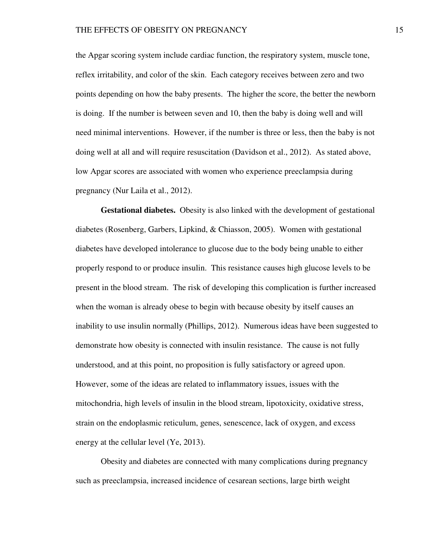the Apgar scoring system include cardiac function, the respiratory system, muscle tone, reflex irritability, and color of the skin. Each category receives between zero and two points depending on how the baby presents. The higher the score, the better the newborn is doing. If the number is between seven and 10, then the baby is doing well and will need minimal interventions. However, if the number is three or less, then the baby is not doing well at all and will require resuscitation (Davidson et al., 2012). As stated above, low Apgar scores are associated with women who experience preeclampsia during pregnancy (Nur Laila et al., 2012).

**Gestational diabetes.** Obesity is also linked with the development of gestational diabetes (Rosenberg, Garbers, Lipkind, & Chiasson, 2005). Women with gestational diabetes have developed intolerance to glucose due to the body being unable to either properly respond to or produce insulin. This resistance causes high glucose levels to be present in the blood stream. The risk of developing this complication is further increased when the woman is already obese to begin with because obesity by itself causes an inability to use insulin normally (Phillips, 2012). Numerous ideas have been suggested to demonstrate how obesity is connected with insulin resistance. The cause is not fully understood, and at this point, no proposition is fully satisfactory or agreed upon. However, some of the ideas are related to inflammatory issues, issues with the mitochondria, high levels of insulin in the blood stream, lipotoxicity, oxidative stress, strain on the endoplasmic reticulum, genes, senescence, lack of oxygen, and excess energy at the cellular level (Ye, 2013).

Obesity and diabetes are connected with many complications during pregnancy such as preeclampsia, increased incidence of cesarean sections, large birth weight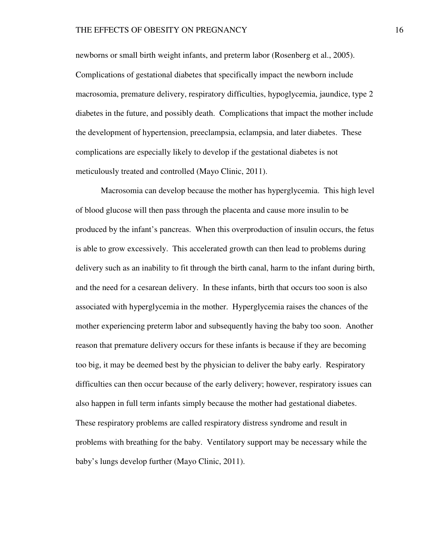newborns or small birth weight infants, and preterm labor (Rosenberg et al., 2005). Complications of gestational diabetes that specifically impact the newborn include macrosomia, premature delivery, respiratory difficulties, hypoglycemia, jaundice, type 2 diabetes in the future, and possibly death. Complications that impact the mother include the development of hypertension, preeclampsia, eclampsia, and later diabetes. These complications are especially likely to develop if the gestational diabetes is not meticulously treated and controlled (Mayo Clinic, 2011).

Macrosomia can develop because the mother has hyperglycemia. This high level of blood glucose will then pass through the placenta and cause more insulin to be produced by the infant's pancreas. When this overproduction of insulin occurs, the fetus is able to grow excessively. This accelerated growth can then lead to problems during delivery such as an inability to fit through the birth canal, harm to the infant during birth, and the need for a cesarean delivery. In these infants, birth that occurs too soon is also associated with hyperglycemia in the mother. Hyperglycemia raises the chances of the mother experiencing preterm labor and subsequently having the baby too soon. Another reason that premature delivery occurs for these infants is because if they are becoming too big, it may be deemed best by the physician to deliver the baby early. Respiratory difficulties can then occur because of the early delivery; however, respiratory issues can also happen in full term infants simply because the mother had gestational diabetes. These respiratory problems are called respiratory distress syndrome and result in problems with breathing for the baby. Ventilatory support may be necessary while the baby's lungs develop further (Mayo Clinic, 2011).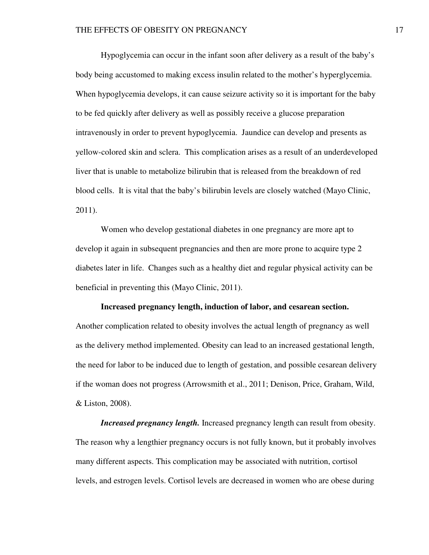Hypoglycemia can occur in the infant soon after delivery as a result of the baby's body being accustomed to making excess insulin related to the mother's hyperglycemia. When hypoglycemia develops, it can cause seizure activity so it is important for the baby to be fed quickly after delivery as well as possibly receive a glucose preparation intravenously in order to prevent hypoglycemia. Jaundice can develop and presents as yellow-colored skin and sclera. This complication arises as a result of an underdeveloped liver that is unable to metabolize bilirubin that is released from the breakdown of red blood cells. It is vital that the baby's bilirubin levels are closely watched (Mayo Clinic, 2011).

Women who develop gestational diabetes in one pregnancy are more apt to develop it again in subsequent pregnancies and then are more prone to acquire type 2 diabetes later in life. Changes such as a healthy diet and regular physical activity can be beneficial in preventing this (Mayo Clinic, 2011).

## **Increased pregnancy length, induction of labor, and cesarean section.**

Another complication related to obesity involves the actual length of pregnancy as well as the delivery method implemented. Obesity can lead to an increased gestational length, the need for labor to be induced due to length of gestation, and possible cesarean delivery if the woman does not progress (Arrowsmith et al., 2011; Denison, Price, Graham, Wild, & Liston, 2008).

*Increased pregnancy length.* Increased pregnancy length can result from obesity. The reason why a lengthier pregnancy occurs is not fully known, but it probably involves many different aspects. This complication may be associated with nutrition, cortisol levels, and estrogen levels. Cortisol levels are decreased in women who are obese during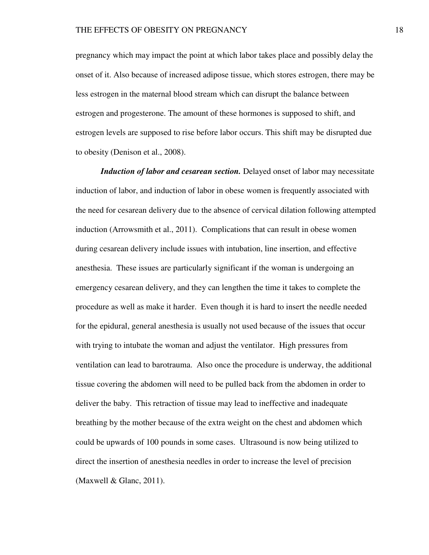pregnancy which may impact the point at which labor takes place and possibly delay the onset of it. Also because of increased adipose tissue, which stores estrogen, there may be less estrogen in the maternal blood stream which can disrupt the balance between estrogen and progesterone. The amount of these hormones is supposed to shift, and estrogen levels are supposed to rise before labor occurs. This shift may be disrupted due to obesity (Denison et al., 2008).

*Induction of labor and cesarean section.* Delayed onset of labor may necessitate induction of labor, and induction of labor in obese women is frequently associated with the need for cesarean delivery due to the absence of cervical dilation following attempted induction (Arrowsmith et al., 2011). Complications that can result in obese women during cesarean delivery include issues with intubation, line insertion, and effective anesthesia. These issues are particularly significant if the woman is undergoing an emergency cesarean delivery, and they can lengthen the time it takes to complete the procedure as well as make it harder. Even though it is hard to insert the needle needed for the epidural, general anesthesia is usually not used because of the issues that occur with trying to intubate the woman and adjust the ventilator. High pressures from ventilation can lead to barotrauma. Also once the procedure is underway, the additional tissue covering the abdomen will need to be pulled back from the abdomen in order to deliver the baby. This retraction of tissue may lead to ineffective and inadequate breathing by the mother because of the extra weight on the chest and abdomen which could be upwards of 100 pounds in some cases. Ultrasound is now being utilized to direct the insertion of anesthesia needles in order to increase the level of precision (Maxwell  $&$  Glanc, 2011).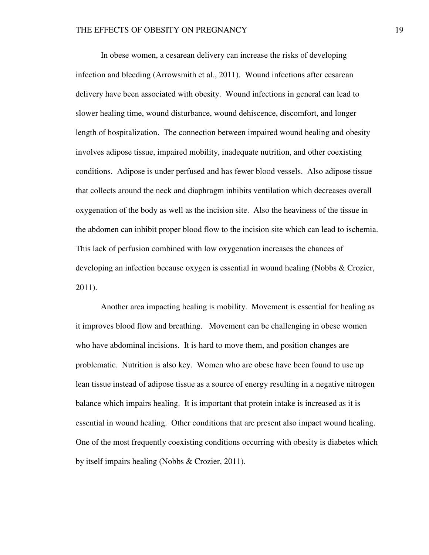In obese women, a cesarean delivery can increase the risks of developing infection and bleeding (Arrowsmith et al., 2011). Wound infections after cesarean delivery have been associated with obesity. Wound infections in general can lead to slower healing time, wound disturbance, wound dehiscence, discomfort, and longer length of hospitalization. The connection between impaired wound healing and obesity involves adipose tissue, impaired mobility, inadequate nutrition, and other coexisting conditions. Adipose is under perfused and has fewer blood vessels. Also adipose tissue that collects around the neck and diaphragm inhibits ventilation which decreases overall oxygenation of the body as well as the incision site. Also the heaviness of the tissue in the abdomen can inhibit proper blood flow to the incision site which can lead to ischemia. This lack of perfusion combined with low oxygenation increases the chances of developing an infection because oxygen is essential in wound healing (Nobbs & Crozier, 2011).

Another area impacting healing is mobility. Movement is essential for healing as it improves blood flow and breathing. Movement can be challenging in obese women who have abdominal incisions. It is hard to move them, and position changes are problematic. Nutrition is also key. Women who are obese have been found to use up lean tissue instead of adipose tissue as a source of energy resulting in a negative nitrogen balance which impairs healing. It is important that protein intake is increased as it is essential in wound healing. Other conditions that are present also impact wound healing. One of the most frequently coexisting conditions occurring with obesity is diabetes which by itself impairs healing (Nobbs & Crozier, 2011).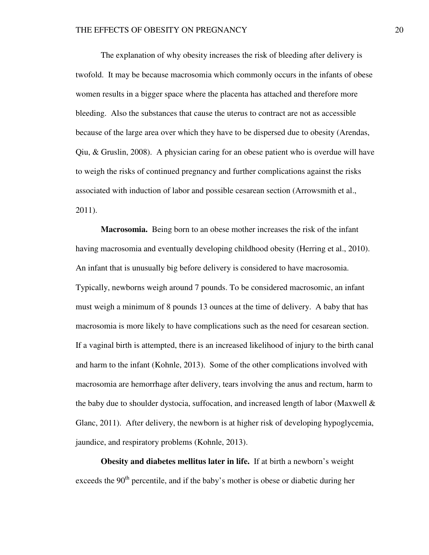The explanation of why obesity increases the risk of bleeding after delivery is twofold. It may be because macrosomia which commonly occurs in the infants of obese women results in a bigger space where the placenta has attached and therefore more bleeding. Also the substances that cause the uterus to contract are not as accessible because of the large area over which they have to be dispersed due to obesity (Arendas, Qiu, & Gruslin, 2008). A physician caring for an obese patient who is overdue will have to weigh the risks of continued pregnancy and further complications against the risks associated with induction of labor and possible cesarean section (Arrowsmith et al., 2011).

**Macrosomia.** Being born to an obese mother increases the risk of the infant having macrosomia and eventually developing childhood obesity (Herring et al., 2010). An infant that is unusually big before delivery is considered to have macrosomia. Typically, newborns weigh around 7 pounds. To be considered macrosomic, an infant must weigh a minimum of 8 pounds 13 ounces at the time of delivery. A baby that has macrosomia is more likely to have complications such as the need for cesarean section. If a vaginal birth is attempted, there is an increased likelihood of injury to the birth canal and harm to the infant (Kohnle, 2013). Some of the other complications involved with macrosomia are hemorrhage after delivery, tears involving the anus and rectum, harm to the baby due to shoulder dystocia, suffocation, and increased length of labor (Maxwell & Glanc, 2011). After delivery, the newborn is at higher risk of developing hypoglycemia, jaundice, and respiratory problems (Kohnle, 2013).

**Obesity and diabetes mellitus later in life.** If at birth a newborn's weight exceeds the  $90<sup>th</sup>$  percentile, and if the baby's mother is obese or diabetic during her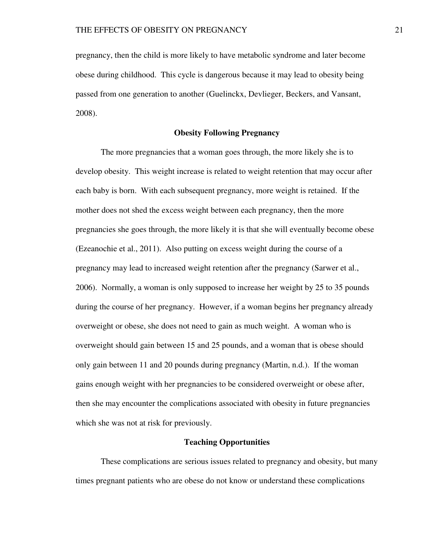pregnancy, then the child is more likely to have metabolic syndrome and later become obese during childhood. This cycle is dangerous because it may lead to obesity being passed from one generation to another (Guelinckx, Devlieger, Beckers, and Vansant, 2008).

## **Obesity Following Pregnancy**

The more pregnancies that a woman goes through, the more likely she is to develop obesity. This weight increase is related to weight retention that may occur after each baby is born. With each subsequent pregnancy, more weight is retained. If the mother does not shed the excess weight between each pregnancy, then the more pregnancies she goes through, the more likely it is that she will eventually become obese (Ezeanochie et al., 2011). Also putting on excess weight during the course of a pregnancy may lead to increased weight retention after the pregnancy (Sarwer et al., 2006). Normally, a woman is only supposed to increase her weight by 25 to 35 pounds during the course of her pregnancy. However, if a woman begins her pregnancy already overweight or obese, she does not need to gain as much weight. A woman who is overweight should gain between 15 and 25 pounds, and a woman that is obese should only gain between 11 and 20 pounds during pregnancy (Martin, n.d.). If the woman gains enough weight with her pregnancies to be considered overweight or obese after, then she may encounter the complications associated with obesity in future pregnancies which she was not at risk for previously.

### **Teaching Opportunities**

These complications are serious issues related to pregnancy and obesity, but many times pregnant patients who are obese do not know or understand these complications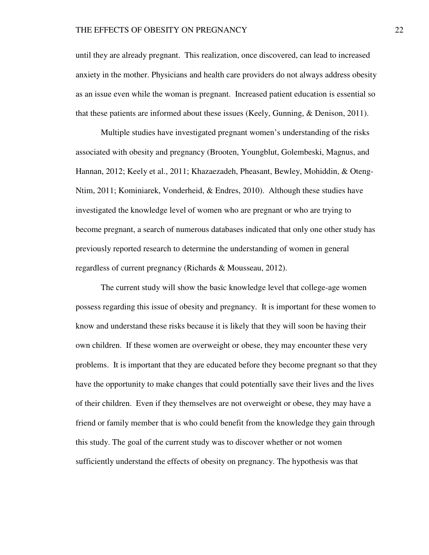until they are already pregnant. This realization, once discovered, can lead to increased anxiety in the mother. Physicians and health care providers do not always address obesity as an issue even while the woman is pregnant. Increased patient education is essential so that these patients are informed about these issues (Keely, Gunning, & Denison, 2011).

Multiple studies have investigated pregnant women's understanding of the risks associated with obesity and pregnancy (Brooten, Youngblut, Golembeski, Magnus, and Hannan, 2012; Keely et al., 2011; Khazaezadeh, Pheasant, Bewley, Mohiddin, & Oteng-Ntim, 2011; Kominiarek, Vonderheid, & Endres, 2010). Although these studies have investigated the knowledge level of women who are pregnant or who are trying to become pregnant, a search of numerous databases indicated that only one other study has previously reported research to determine the understanding of women in general regardless of current pregnancy (Richards & Mousseau, 2012).

The current study will show the basic knowledge level that college-age women possess regarding this issue of obesity and pregnancy. It is important for these women to know and understand these risks because it is likely that they will soon be having their own children. If these women are overweight or obese, they may encounter these very problems. It is important that they are educated before they become pregnant so that they have the opportunity to make changes that could potentially save their lives and the lives of their children. Even if they themselves are not overweight or obese, they may have a friend or family member that is who could benefit from the knowledge they gain through this study. The goal of the current study was to discover whether or not women sufficiently understand the effects of obesity on pregnancy. The hypothesis was that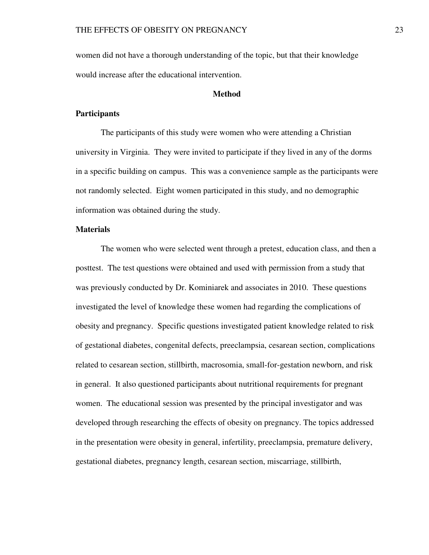women did not have a thorough understanding of the topic, but that their knowledge would increase after the educational intervention.

# **Method**

# **Participants**

The participants of this study were women who were attending a Christian university in Virginia. They were invited to participate if they lived in any of the dorms in a specific building on campus. This was a convenience sample as the participants were not randomly selected. Eight women participated in this study, and no demographic information was obtained during the study.

# **Materials**

The women who were selected went through a pretest, education class, and then a posttest. The test questions were obtained and used with permission from a study that was previously conducted by Dr. Kominiarek and associates in 2010. These questions investigated the level of knowledge these women had regarding the complications of obesity and pregnancy. Specific questions investigated patient knowledge related to risk of gestational diabetes, congenital defects, preeclampsia, cesarean section, complications related to cesarean section, stillbirth, macrosomia, small-for-gestation newborn, and risk in general. It also questioned participants about nutritional requirements for pregnant women. The educational session was presented by the principal investigator and was developed through researching the effects of obesity on pregnancy. The topics addressed in the presentation were obesity in general, infertility, preeclampsia, premature delivery, gestational diabetes, pregnancy length, cesarean section, miscarriage, stillbirth,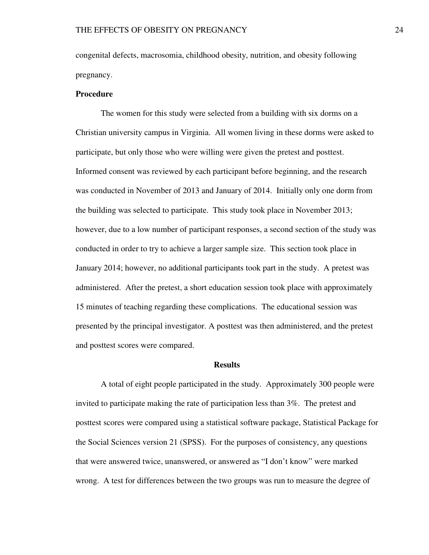congenital defects, macrosomia, childhood obesity, nutrition, and obesity following pregnancy.

## **Procedure**

The women for this study were selected from a building with six dorms on a Christian university campus in Virginia. All women living in these dorms were asked to participate, but only those who were willing were given the pretest and posttest. Informed consent was reviewed by each participant before beginning, and the research was conducted in November of 2013 and January of 2014. Initially only one dorm from the building was selected to participate. This study took place in November 2013; however, due to a low number of participant responses, a second section of the study was conducted in order to try to achieve a larger sample size. This section took place in January 2014; however, no additional participants took part in the study. A pretest was administered. After the pretest, a short education session took place with approximately 15 minutes of teaching regarding these complications. The educational session was presented by the principal investigator. A posttest was then administered, and the pretest and posttest scores were compared.

### **Results**

A total of eight people participated in the study. Approximately 300 people were invited to participate making the rate of participation less than 3%. The pretest and posttest scores were compared using a statistical software package, Statistical Package for the Social Sciences version 21 (SPSS). For the purposes of consistency, any questions that were answered twice, unanswered, or answered as "I don't know" were marked wrong. A test for differences between the two groups was run to measure the degree of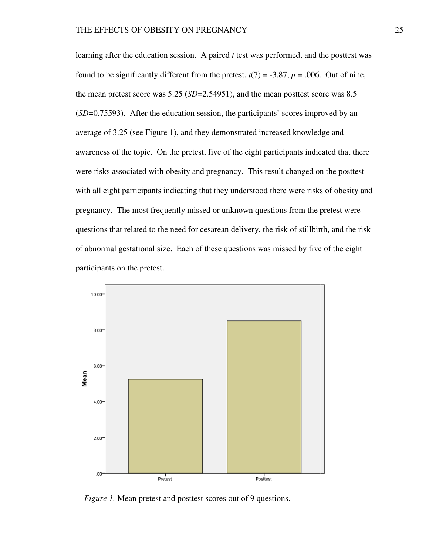learning after the education session. A paired *t* test was performed, and the posttest was found to be significantly different from the pretest,  $t(7) = -3.87$ ,  $p = .006$ . Out of nine, the mean pretest score was  $5.25$  ( $SD=2.54951$ ), and the mean posttest score was 8.5 (*SD*=0.75593). After the education session, the participants' scores improved by an average of 3.25 (see Figure 1), and they demonstrated increased knowledge and awareness of the topic. On the pretest, five of the eight participants indicated that there were risks associated with obesity and pregnancy. This result changed on the posttest with all eight participants indicating that they understood there were risks of obesity and with all eight participants indicating that they understood there were risks of obe<br>pregnancy. The most frequently missed or unknown questions from the pretest questions that related to the need for cesarean delivery, the risk of stillbirth, and the risk of abnormal gestational size. Each of these questions was missed by five of the eight participants on the pretest. changed on the posttest<br>were risks of obesity a<br>s from the pretest were



*Figure 1.* Mean pretest and posttest scores out of 9 questions.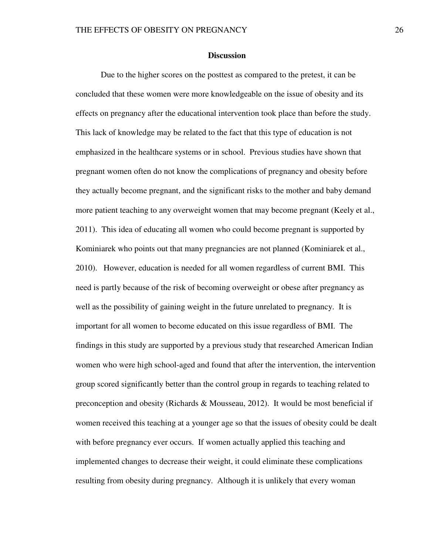## **Discussion**

Due to the higher scores on the posttest as compared to the pretest, it can be concluded that these women were more knowledgeable on the issue of obesity and its effects on pregnancy after the educational intervention took place than before the study. This lack of knowledge may be related to the fact that this type of education is not emphasized in the healthcare systems or in school. Previous studies have shown that pregnant women often do not know the complications of pregnancy and obesity before they actually become pregnant, and the significant risks to the mother and baby demand more patient teaching to any overweight women that may become pregnant (Keely et al., 2011). This idea of educating all women who could become pregnant is supported by Kominiarek who points out that many pregnancies are not planned (Kominiarek et al., 2010). However, education is needed for all women regardless of current BMI. This need is partly because of the risk of becoming overweight or obese after pregnancy as well as the possibility of gaining weight in the future unrelated to pregnancy. It is important for all women to become educated on this issue regardless of BMI. The findings in this study are supported by a previous study that researched American Indian women who were high school-aged and found that after the intervention, the intervention group scored significantly better than the control group in regards to teaching related to preconception and obesity (Richards & Mousseau, 2012). It would be most beneficial if women received this teaching at a younger age so that the issues of obesity could be dealt with before pregnancy ever occurs. If women actually applied this teaching and implemented changes to decrease their weight, it could eliminate these complications resulting from obesity during pregnancy. Although it is unlikely that every woman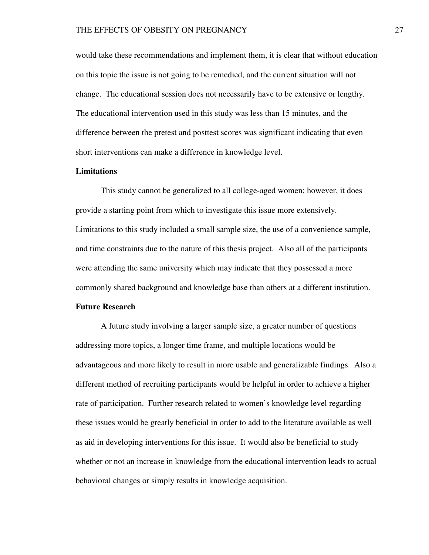would take these recommendations and implement them, it is clear that without education on this topic the issue is not going to be remedied, and the current situation will not change. The educational session does not necessarily have to be extensive or lengthy. The educational intervention used in this study was less than 15 minutes, and the difference between the pretest and posttest scores was significant indicating that even short interventions can make a difference in knowledge level.

# **Limitations**

This study cannot be generalized to all college-aged women; however, it does provide a starting point from which to investigate this issue more extensively. Limitations to this study included a small sample size, the use of a convenience sample, and time constraints due to the nature of this thesis project. Also all of the participants were attending the same university which may indicate that they possessed a more commonly shared background and knowledge base than others at a different institution.

## **Future Research**

A future study involving a larger sample size, a greater number of questions addressing more topics, a longer time frame, and multiple locations would be advantageous and more likely to result in more usable and generalizable findings. Also a different method of recruiting participants would be helpful in order to achieve a higher rate of participation. Further research related to women's knowledge level regarding these issues would be greatly beneficial in order to add to the literature available as well as aid in developing interventions for this issue. It would also be beneficial to study whether or not an increase in knowledge from the educational intervention leads to actual behavioral changes or simply results in knowledge acquisition.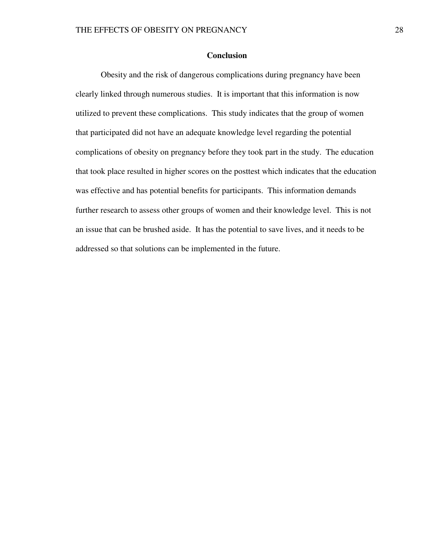# **Conclusion**

 Obesity and the risk of dangerous complications during pregnancy have been clearly linked through numerous studies. It is important that this information is now utilized to prevent these complications. This study indicates that the group of women that participated did not have an adequate knowledge level regarding the potential complications of obesity on pregnancy before they took part in the study. The education that took place resulted in higher scores on the posttest which indicates that the education was effective and has potential benefits for participants. This information demands further research to assess other groups of women and their knowledge level. This is not an issue that can be brushed aside. It has the potential to save lives, and it needs to be addressed so that solutions can be implemented in the future.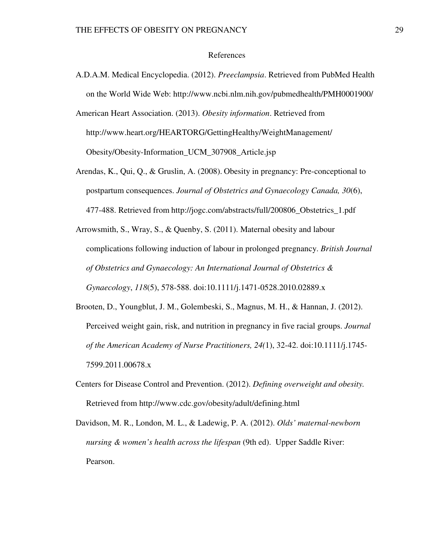#### References

- A.D.A.M. Medical Encyclopedia. (2012). *Preeclampsia*. Retrieved from PubMed Health on the World Wide Web: http://www.ncbi.nlm.nih.gov/pubmedhealth/PMH0001900/
- American Heart Association. (2013). *Obesity information*. Retrieved from http://www.heart.org/HEARTORG/GettingHealthy/WeightManagement/ Obesity/Obesity-Information\_UCM\_307908\_Article.jsp
- Arendas, K., Qui, Q., & Gruslin, A. (2008). Obesity in pregnancy: Pre-conceptional to postpartum consequences. *Journal of Obstetrics and Gynaecology Canada, 30*(6), 477-488. Retrieved from http://jogc.com/abstracts/full/200806\_Obstetrics\_1.pdf
- Arrowsmith, S., Wray, S., & Quenby, S. (2011). Maternal obesity and labour complications following induction of labour in prolonged pregnancy. *British Journal of Obstetrics and Gynaecology: An International Journal of Obstetrics & Gynaecology*, *118*(5), 578-588. doi:10.1111/j.1471-0528.2010.02889.x
- Brooten, D., Youngblut, J. M., Golembeski, S., Magnus, M. H., & Hannan, J. (2012). Perceived weight gain, risk, and nutrition in pregnancy in five racial groups. *Journal of the American Academy of Nurse Practitioners, 24(*1), 32-42. doi:10.1111/j.1745- 7599.2011.00678.x
- Centers for Disease Control and Prevention. (2012). *Defining overweight and obesity.* Retrieved from http://www.cdc.gov/obesity/adult/defining.html
- Davidson, M. R., London, M. L., & Ladewig, P. A. (2012). *Olds' maternal-newborn nursing & women's health across the lifespan* (9th ed). Upper Saddle River: Pearson.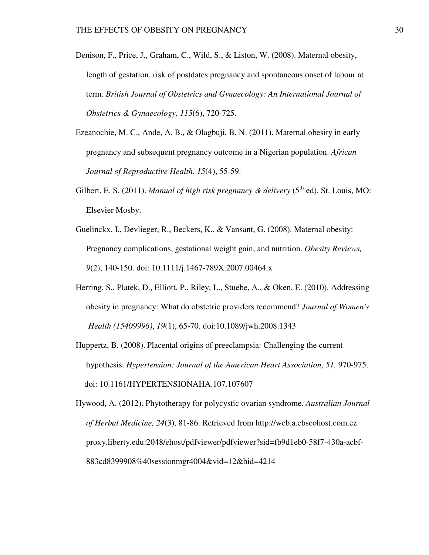- Denison, F., Price, J., Graham, C., Wild, S., & Liston, W. (2008). Maternal obesity, length of gestation, risk of postdates pregnancy and spontaneous onset of labour at term. *British Journal of Obstetrics and Gynaecology: An International Journal of Obstetrics & Gynaecology, 115*(6), 720-725.
- Ezeanochie, M. C., Ande, A. B., & Olagbuji, B. N. (2011). Maternal obesity in early pregnancy and subsequent pregnancy outcome in a Nigerian population. *African Journal of Reproductive Health*, *15*(4), 55-59.
- Gilbert, E. S. (2011). *Manual of high risk pregnancy & delivery* ( $5<sup>th</sup>$  ed), St. Louis, MO: Elsevier Mosby.
- Guelinckx, I., Devlieger, R., Beckers, K., & Vansant, G. (2008). Maternal obesity: Pregnancy complications, gestational weight gain, and nutrition. *Obesity Reviews, 9*(2), 140-150. doi: 10.1111/j.1467-789X.2007.00464.x
- Herring, S., Platek, D., Elliott, P., Riley, L., Stuebe, A., & Oken, E. (2010). Addressing obesity in pregnancy: What do obstetric providers recommend? *Journal of Women's Health (15409996)*, *19*(1), 65-70. doi:10.1089/jwh.2008.1343
- Huppertz, B. (2008). Placental origins of preeclampsia: Challenging the current hypothesis. *Hypertension: Journal of the American Heart Association, 51,* 970-975. doi: 10.1161/HYPERTENSIONAHA.107.107607
- Hywood, A. (2012). Phytotherapy for polycystic ovarian syndrome. *Australian Journal of Herbal Medicine, 24*(3), 81-86. Retrieved from http://web.a.ebscohost.com.ez proxy.liberty.edu:2048/ehost/pdfviewer/pdfviewer?sid=fb9d1eb0-58f7-430a-acbf- 883cd8399908%40sessionmgr4004&vid=12&hid=4214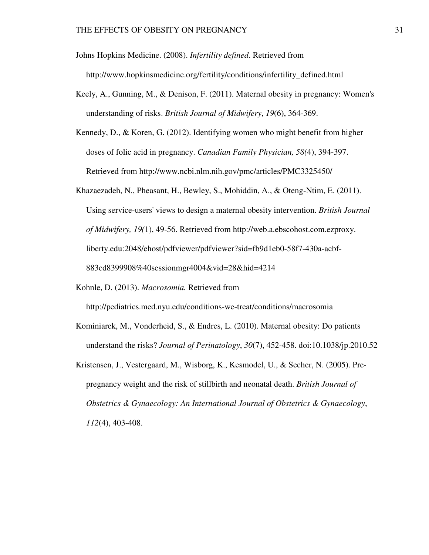Johns Hopkins Medicine. (2008). *Infertility defined*. Retrieved from http://www.hopkinsmedicine.org/fertility/conditions/infertility\_defined.html

- Keely, A., Gunning, M., & Denison, F. (2011). Maternal obesity in pregnancy: Women's understanding of risks. *British Journal of Midwifery*, *19*(6), 364-369.
- Kennedy, D., & Koren, G. (2012). Identifying women who might benefit from higher doses of folic acid in pregnancy. *Canadian Family Physician, 58(*4), 394-397. Retrieved from http://www.ncbi.nlm.nih.gov/pmc/articles/PMC3325450/
- Khazaezadeh, N., Pheasant, H., Bewley, S., Mohiddin, A., & Oteng-Ntim, E. (2011). Using service-users' views to design a maternal obesity intervention. *British Journal of Midwifery, 19(*1), 49-56. Retrieved from http://web.a.ebscohost.com.ezproxy. liberty.edu:2048/ehost/pdfviewer/pdfviewer?sid=fb9d1eb0-58f7-430a-acbf- 883cd8399908%40sessionmgr4004&vid=28&hid=4214
- Kohnle, D. (2013). *Macrosomia.* Retrieved from

http://pediatrics.med.nyu.edu/conditions-we-treat/conditions/macrosomia

- Kominiarek, M., Vonderheid, S., & Endres, L. (2010). Maternal obesity: Do patients understand the risks? *Journal of Perinatology*, *30*(7), 452-458. doi:10.1038/jp.2010.52
- Kristensen, J., Vestergaard, M., Wisborg, K., Kesmodel, U., & Secher, N. (2005). Pre pregnancy weight and the risk of stillbirth and neonatal death. *British Journal of Obstetrics & Gynaecology: An International Journal of Obstetrics & Gynaecology*, *112*(4), 403-408.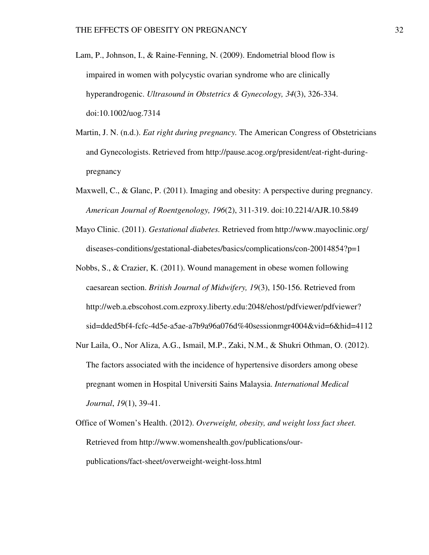- Lam, P., Johnson, I., & Raine-Fenning, N. (2009). Endometrial blood flow is impaired in women with polycystic ovarian syndrome who are clinically hyperandrogenic. *Ultrasound in Obstetrics & Gynecology, 34*(3), 326-334. doi:10.1002/uog.7314
- Martin, J. N. (n.d.). *Eat right during pregnancy.* The American Congress of Obstetricians and Gynecologists. Retrieved from http://pause.acog.org/president/eat-right-during pregnancy
- Maxwell, C., & Glanc, P. (2011). Imaging and obesity: A perspective during pregnancy. *American Journal of Roentgenology, 196*(2), 311-319. doi:10.2214/AJR.10.5849
- Mayo Clinic. (2011). *Gestational diabetes.* Retrieved from http://www.mayoclinic.org/ diseases-conditions/gestational-diabetes/basics/complications/con-20014854?p=1
- Nobbs, S., & Crazier, K. (2011). Wound management in obese women following caesarean section. *British Journal of Midwifery, 19*(3), 150-156. Retrieved from http://web.a.ebscohost.com.ezproxy.liberty.edu:2048/ehost/pdfviewer/pdfviewer? sid=dded5bf4-fcfc-4d5e-a5ae-a7b9a96a076d%40sessionmgr4004&vid=6&hid=4112
- Nur Laila, O., Nor Aliza, A.G., Ismail, M.P., Zaki, N.M., & Shukri Othman, O. (2012). The factors associated with the incidence of hypertensive disorders among obese pregnant women in Hospital Universiti Sains Malaysia. *International Medical Journal*, *19*(1), 39-41.
- Office of Women's Health. (2012). *Overweight, obesity, and weight loss fact sheet.* Retrieved from http://www.womenshealth.gov/publications/our publications/fact-sheet/overweight-weight-loss.html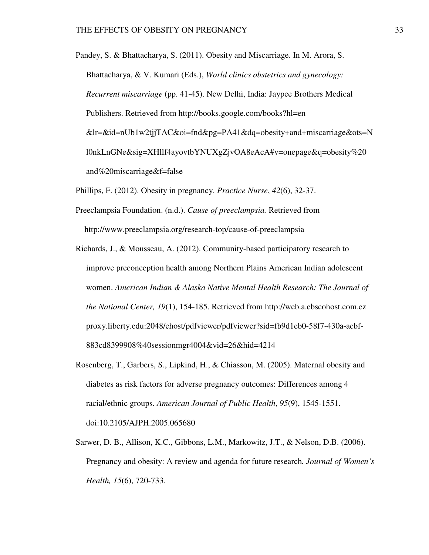- Pandey, S. & Bhattacharya, S. (2011). Obesity and Miscarriage. In M. Arora, S. Bhattacharya, & V. Kumari (Eds.), *World clinics obstetrics and gynecology: Recurrent miscarriage* (pp. 41-45). New Delhi, India: Jaypee Brothers Medical Publishers. Retrieved from http://books.google.com/books?hl=en &lr=&id=nUb1w2tjjTAC&oi=fnd&pg=PA41&dq=obesity+and+miscarriage&ots=N l0nkLnGNe&sig=XHllf4ayovtbYNUXgZjvOA8eAcA#v=onepage&q=obesity%20 and%20miscarriage&f=false
- Phillips, F. (2012). Obesity in pregnancy. *Practice Nurse*, *42*(6), 32-37.
- Preeclampsia Foundation. (n.d.). *Cause of preeclampsia.* Retrieved from http://www.preeclampsia.org/research-top/cause-of-preeclampsia
- Richards, J., & Mousseau, A. (2012). Community-based participatory research to improve preconception health among Northern Plains American Indian adolescent women. *American Indian & Alaska Native Mental Health Research: The Journal of the National Center, 19*(1), 154-185. Retrieved from http://web.a.ebscohost.com.ez proxy.liberty.edu:2048/ehost/pdfviewer/pdfviewer?sid=fb9d1eb0-58f7-430a-acbf- 883cd8399908%40sessionmgr4004&vid=26&hid=4214
- Rosenberg, T., Garbers, S., Lipkind, H., & Chiasson, M. (2005). Maternal obesity and diabetes as risk factors for adverse pregnancy outcomes: Differences among 4 racial/ethnic groups. *American Journal of Public Health*, *95*(9), 1545-1551. doi:10.2105/AJPH.2005.065680
- Sarwer, D. B., Allison, K.C., Gibbons, L.M., Markowitz, J.T., & Nelson, D.B. (2006). Pregnancy and obesity: A review and agenda for future research*. Journal of Women's Health, 15*(6), 720-733.